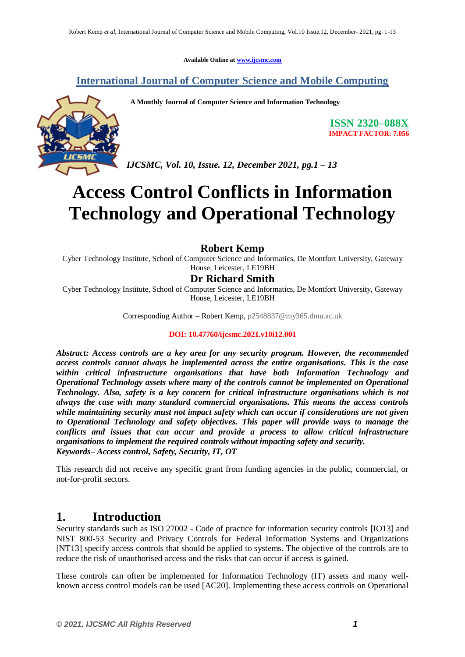**Available Online at www.ijcsmc.com**

## **International Journal of Computer Science and Mobile Computing**



**A Monthly Journal of Computer Science and Information Technology**

**ISSN 2320–088X IMPACT FACTOR: 7.056**

*IJCSMC, Vol. 10, Issue. 12, December 2021, pg.1 – 13*

# **Access Control Conflicts in Information Technology and Operational Technology**

#### **Robert Kemp**

Cyber Technology Institute, School of Computer Science and Informatics, De Montfort University, Gateway House, Leicester, LE19BH

#### **Dr Richard Smith**

Cyber Technology Institute, School of Computer Science and Informatics, De Montfort University, Gateway House, Leicester, LE19BH

Corresponding Author – Robert Kemp, p2548837@my365.dmu.ac.uk

#### **DOI: 10.47760/ijcsmc.2021.v10i12.001**

*Abstract: Access controls are a key area for any security program. However, the recommended access controls cannot always be implemented across the entire organisations. This is the case within critical infrastructure organisations that have both Information Technology and Operational Technology assets where many of the controls cannot be implemented on Operational Technology. Also, safety is a key concern for critical infrastructure organisations which is not always the case with many standard commercial organisations. This means the access controls while maintaining security must not impact safety which can occur if considerations are not given to Operational Technology and safety objectives. This paper will provide ways to manage the conflicts and issues that can occur and provide a process to allow critical infrastructure organisations to implement the required controls without impacting safety and security. Keywords– Access control, Safety, Security, IT, OT*

This research did not receive any specific grant from funding agencies in the public, commercial, or not-for-profit sectors.

## **1. Introduction**

Security standards such as ISO 27002 - Code of practice for information security controls [IO13] and NIST 800-53 Security and Privacy Controls for Federal Information Systems and Organizations [NT13] specify access controls that should be applied to systems. The objective of the controls are to reduce the risk of unauthorised access and the risks that can occur if access is gained.

These controls can often be implemented for Information Technology (IT) assets and many wellknown access control models can be used [AC20]. Implementing these access controls on Operational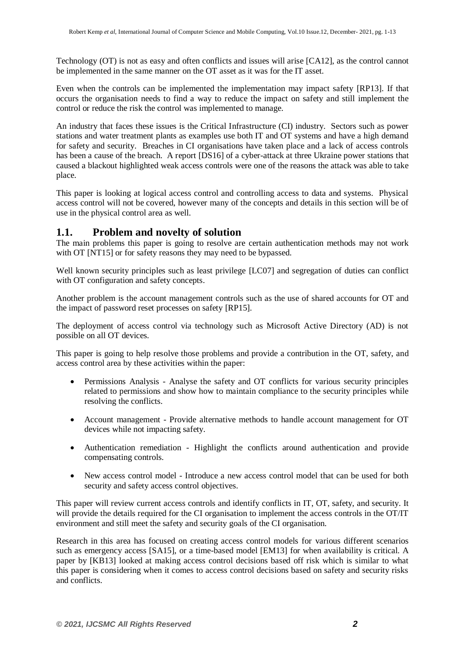Technology (OT) is not as easy and often conflicts and issues will arise [CA12], as the control cannot be implemented in the same manner on the OT asset as it was for the IT asset.

Even when the controls can be implemented the implementation may impact safety [RP13]. If that occurs the organisation needs to find a way to reduce the impact on safety and still implement the control or reduce the risk the control was implemented to manage.

An industry that faces these issues is the Critical Infrastructure (CI) industry. Sectors such as power stations and water treatment plants as examples use both IT and OT systems and have a high demand for safety and security. Breaches in CI organisations have taken place and a lack of access controls has been a cause of the breach. A report [DS16] of a cyber-attack at three Ukraine power stations that caused a blackout highlighted weak access controls were one of the reasons the attack was able to take place.

This paper is looking at logical access control and controlling access to data and systems. Physical access control will not be covered, however many of the concepts and details in this section will be of use in the physical control area as well.

#### **1.1. Problem and novelty of solution**

The main problems this paper is going to resolve are certain authentication methods may not work with OT [NT15] or for safety reasons they may need to be bypassed.

Well known security principles such as least privilege [LC07] and segregation of duties can conflict with OT configuration and safety concepts.

Another problem is the account management controls such as the use of shared accounts for OT and the impact of password reset processes on safety [RP15].

The deployment of access control via technology such as Microsoft Active Directory (AD) is not possible on all OT devices.

This paper is going to help resolve those problems and provide a contribution in the OT, safety, and access control area by these activities within the paper:

- Permissions Analysis Analyse the safety and OT conflicts for various security principles related to permissions and show how to maintain compliance to the security principles while resolving the conflicts.
- Account management Provide alternative methods to handle account management for OT devices while not impacting safety.
- Authentication remediation Highlight the conflicts around authentication and provide compensating controls.
- New access control model Introduce a new access control model that can be used for both security and safety access control objectives.

This paper will review current access controls and identify conflicts in IT, OT, safety, and security. It will provide the details required for the CI organisation to implement the access controls in the OT/IT environment and still meet the safety and security goals of the CI organisation.

Research in this area has focused on creating access control models for various different scenarios such as emergency access [SA15], or a time-based model [EM13] for when availability is critical. A paper by [KB13] looked at making access control decisions based off risk which is similar to what this paper is considering when it comes to access control decisions based on safety and security risks and conflicts.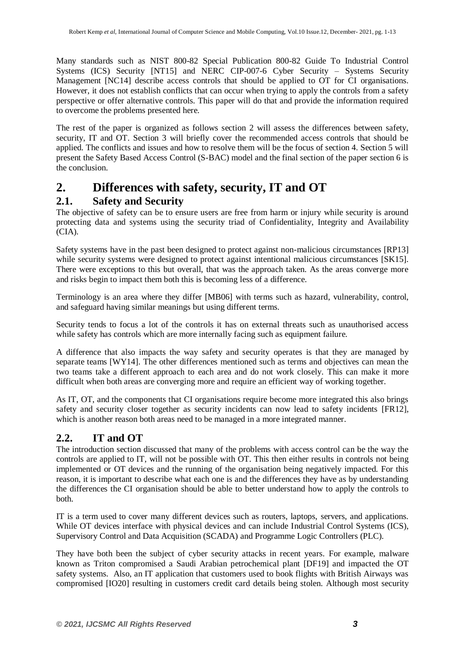Many standards such as NIST 800-82 Special Publication 800-82 Guide To Industrial Control Systems (ICS) Security [NT15] and NERC CIP-007-6 Cyber Security – Systems Security Management [NC14] describe access controls that should be applied to OT for CI organisations. However, it does not establish conflicts that can occur when trying to apply the controls from a safety perspective or offer alternative controls. This paper will do that and provide the information required to overcome the problems presented here.

The rest of the paper is organized as follows section 2 will assess the differences between safety, security, IT and OT. Section 3 will briefly cover the recommended access controls that should be applied. The conflicts and issues and how to resolve them will be the focus of section 4. Section 5 will present the Safety Based Access Control (S-BAC) model and the final section of the paper section 6 is the conclusion.

## **2. Differences with safety, security, IT and OT**

### **2.1. Safety and Security**

The objective of safety can be to ensure users are free from harm or injury while security is around protecting data and systems using the security triad of Confidentiality, Integrity and Availability  $(CIA)$ .

Safety systems have in the past been designed to protect against non-malicious circumstances [RP13] while security systems were designed to protect against intentional malicious circumstances [SK15]. There were exceptions to this but overall, that was the approach taken. As the areas converge more and risks begin to impact them both this is becoming less of a difference.

Terminology is an area where they differ [MB06] with terms such as hazard, vulnerability, control, and safeguard having similar meanings but using different terms.

Security tends to focus a lot of the controls it has on external threats such as unauthorised access while safety has controls which are more internally facing such as equipment failure.

A difference that also impacts the way safety and security operates is that they are managed by separate teams [WY14]. The other differences mentioned such as terms and objectives can mean the two teams take a different approach to each area and do not work closely. This can make it more difficult when both areas are converging more and require an efficient way of working together.

As IT, OT, and the components that CI organisations require become more integrated this also brings safety and security closer together as security incidents can now lead to safety incidents [FR12], which is another reason both areas need to be managed in a more integrated manner.

## **2.2. IT and OT**

The introduction section discussed that many of the problems with access control can be the way the controls are applied to IT, will not be possible with OT. This then either results in controls not being implemented or OT devices and the running of the organisation being negatively impacted. For this reason, it is important to describe what each one is and the differences they have as by understanding the differences the CI organisation should be able to better understand how to apply the controls to both.

IT is a term used to cover many different devices such as routers, laptops, servers, and applications. While OT devices interface with physical devices and can include Industrial Control Systems (ICS), Supervisory Control and Data Acquisition (SCADA) and Programme Logic Controllers (PLC).

They have both been the subject of cyber security attacks in recent years. For example, malware known as Triton compromised a Saudi Arabian petrochemical plant [DF19] and impacted the OT safety systems. Also, an IT application that customers used to book flights with British Airways was compromised [IO20] resulting in customers credit card details being stolen. Although most security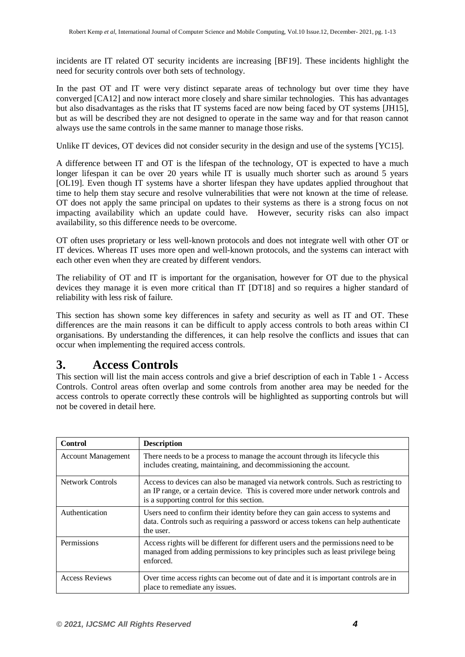incidents are IT related OT security incidents are increasing [BF19]. These incidents highlight the need for security controls over both sets of technology.

In the past OT and IT were very distinct separate areas of technology but over time they have converged [CA12] and now interact more closely and share similar technologies. This has advantages but also disadvantages as the risks that IT systems faced are now being faced by OT systems [JH15], but as will be described they are not designed to operate in the same way and for that reason cannot always use the same controls in the same manner to manage those risks.

Unlike IT devices, OT devices did not consider security in the design and use of the systems [YC15].

A difference between IT and OT is the lifespan of the technology, OT is expected to have a much longer lifespan it can be over 20 years while IT is usually much shorter such as around 5 years [OL19]. Even though IT systems have a shorter lifespan they have updates applied throughout that time to help them stay secure and resolve vulnerabilities that were not known at the time of release. OT does not apply the same principal on updates to their systems as there is a strong focus on not impacting availability which an update could have. However, security risks can also impact availability, so this difference needs to be overcome.

OT often uses proprietary or less well-known protocols and does not integrate well with other OT or IT devices. Whereas IT uses more open and well-known protocols, and the systems can interact with each other even when they are created by different vendors.

The reliability of OT and IT is important for the organisation, however for OT due to the physical devices they manage it is even more critical than IT [DT18] and so requires a higher standard of reliability with less risk of failure.

This section has shown some key differences in safety and security as well as IT and OT. These differences are the main reasons it can be difficult to apply access controls to both areas within CI organisations. By understanding the differences, it can help resolve the conflicts and issues that can occur when implementing the required access controls.

## <span id="page-3-0"></span>**3. Access Controls**

This section will list the main access controls and give a brief description of each in Table 1 - [Access](#page-4-0)  [Controls.](#page-4-0) Control areas often overlap and some controls from another area may be needed for the access controls to operate correctly these controls will be highlighted as supporting controls but will not be covered in detail here.

| <b>Control</b>            | <b>Description</b>                                                                                                                                                                                                   |
|---------------------------|----------------------------------------------------------------------------------------------------------------------------------------------------------------------------------------------------------------------|
| <b>Account Management</b> | There needs to be a process to manage the account through its lifecycle this<br>includes creating, maintaining, and decommissioning the account.                                                                     |
| Network Controls          | Access to devices can also be managed via network controls. Such as restricting to<br>an IP range, or a certain device. This is covered more under network controls and<br>is a supporting control for this section. |
| Authentication            | Users need to confirm their identity before they can gain access to systems and<br>data. Controls such as requiring a password or access tokens can help authenticate<br>the user.                                   |
| Permissions               | Access rights will be different for different users and the permissions need to be<br>managed from adding permissions to key principles such as least privilege being<br>enforced.                                   |
| <b>Access Reviews</b>     | Over time access rights can become out of date and it is important controls are in<br>place to remediate any issues.                                                                                                 |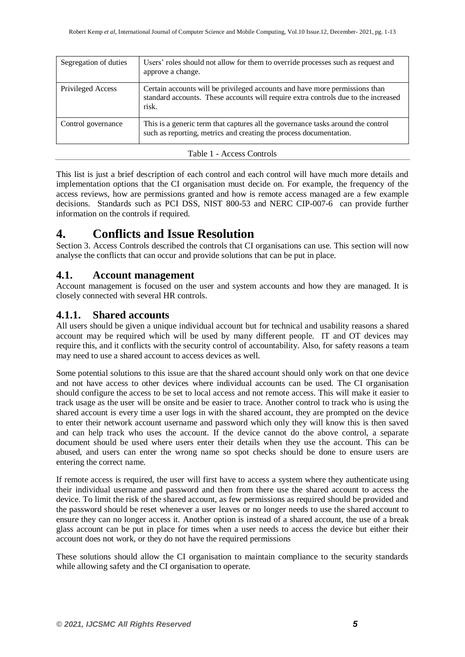| Segregation of duties | Users' roles should not allow for them to override processes such as request and<br>approve a change.                                                                      |
|-----------------------|----------------------------------------------------------------------------------------------------------------------------------------------------------------------------|
| Privileged Access     | Certain accounts will be privileged accounts and have more permissions than<br>standard accounts. These accounts will require extra controls due to the increased<br>risk. |
| Control governance    | This is a generic term that captures all the governance tasks around the control<br>such as reporting, metrics and creating the process documentation.                     |

#### Table 1 - Access Controls

<span id="page-4-0"></span>This list is just a brief description of each control and each control will have much more details and implementation options that the CI organisation must decide on. For example, the frequency of the access reviews, how are permissions granted and how is remote access managed are a few example decisions. Standards such as PCI DSS, NIST 800-53 and NERC CIP-007-6 can provide further information on the controls if required.

## <span id="page-4-1"></span>**4. Conflicts and Issue Resolution**

Section 3. Access [Controls](#page-3-0) described the controls that CI organisations can use. This section will now analyse the conflicts that can occur and provide solutions that can be put in place.

#### **4.1. Account management**

Account management is focused on the user and system accounts and how they are managed. It is closely connected with several HR controls.

#### **4.1.1. Shared accounts**

All users should be given a unique individual account but for technical and usability reasons a shared account may be required which will be used by many different people. IT and OT devices may require this, and it conflicts with the security control of accountability. Also, for safety reasons a team may need to use a shared account to access devices as well.

Some potential solutions to this issue are that the shared account should only work on that one device and not have access to other devices where individual accounts can be used. The CI organisation should configure the access to be set to local access and not remote access. This will make it easier to track usage as the user will be onsite and be easier to trace. Another control to track who is using the shared account is every time a user logs in with the shared account, they are prompted on the device to enter their network account username and password which only they will know this is then saved and can help track who uses the account. If the device cannot do the above control, a separate document should be used where users enter their details when they use the account. This can be abused, and users can enter the wrong name so spot checks should be done to ensure users are entering the correct name.

If remote access is required, the user will first have to access a system where they authenticate using their individual username and password and then from there use the shared account to access the device. To limit the risk of the shared account, as few permissions as required should be provided and the password should be reset whenever a user leaves or no longer needs to use the shared account to ensure they can no longer access it. Another option is instead of a shared account, the use of a break glass account can be put in place for times when a user needs to access the device but either their account does not work, or they do not have the required permissions

These solutions should allow the CI organisation to maintain compliance to the security standards while allowing safety and the CI organisation to operate.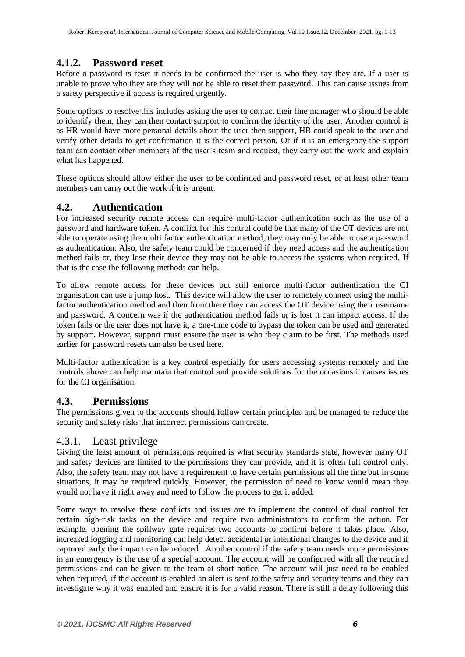### **4.1.2. Password reset**

Before a password is reset it needs to be confirmed the user is who they say they are. If a user is unable to prove who they are they will not be able to reset their password. This can cause issues from a safety perspective if access is required urgently.

Some options to resolve this includes asking the user to contact their line manager who should be able to identify them, they can then contact support to confirm the identity of the user. Another control is as HR would have more personal details about the user then support, HR could speak to the user and verify other details to get confirmation it is the correct person. Or if it is an emergency the support team can contact other members of the user's team and request, they carry out the work and explain what has happened.

These options should allow either the user to be confirmed and password reset, or at least other team members can carry out the work if it is urgent.

#### **4.2. Authentication**

For increased security remote access can require multi-factor authentication such as the use of a password and hardware token. A conflict for this control could be that many of the OT devices are not able to operate using the multi factor authentication method, they may only be able to use a password as authentication. Also, the safety team could be concerned if they need access and the authentication method fails or, they lose their device they may not be able to access the systems when required. If that is the case the following methods can help.

To allow remote access for these devices but still enforce multi-factor authentication the CI organisation can use a jump host. This device will allow the user to remotely connect using the multifactor authentication method and then from there they can access the OT device using their username and password. A concern was if the authentication method fails or is lost it can impact access. If the token fails or the user does not have it, a one-time code to bypass the token can be used and generated by support. However, support must ensure the user is who they claim to be first. The methods used earlier for password resets can also be used here.

Multi-factor authentication is a key control especially for users accessing systems remotely and the controls above can help maintain that control and provide solutions for the occasions it causes issues for the CI organisation.

#### **4.3. Permissions**

The permissions given to the accounts should follow certain principles and be managed to reduce the security and safety risks that incorrect permissions can create.

#### 4.3.1. Least privilege

Giving the least amount of permissions required is what security standards state, however many OT and safety devices are limited to the permissions they can provide, and it is often full control only. Also, the safety team may not have a requirement to have certain permissions all the time but in some situations, it may be required quickly. However, the permission of need to know would mean they would not have it right away and need to follow the process to get it added.

Some ways to resolve these conflicts and issues are to implement the control of dual control for certain high-risk tasks on the device and require two administrators to confirm the action. For example, opening the spillway gate requires two accounts to confirm before it takes place. Also, increased logging and monitoring can help detect accidental or intentional changes to the device and if captured early the impact can be reduced. Another control if the safety team needs more permissions in an emergency is the use of a special account. The account will be configured with all the required permissions and can be given to the team at short notice. The account will just need to be enabled when required, if the account is enabled an alert is sent to the safety and security teams and they can investigate why it was enabled and ensure it is for a valid reason. There is still a delay following this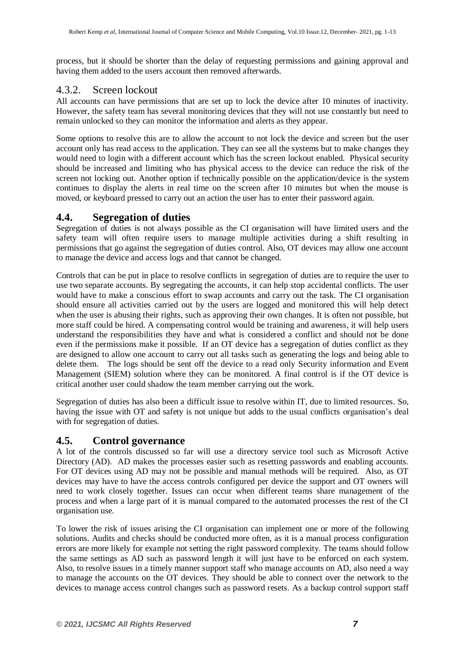process, but it should be shorter than the delay of requesting permissions and gaining approval and having them added to the users account then removed afterwards.

#### 4.3.2. Screen lockout

All accounts can have permissions that are set up to lock the device after 10 minutes of inactivity. However, the safety team has several monitoring devices that they will not use constantly but need to remain unlocked so they can monitor the information and alerts as they appear.

Some options to resolve this are to allow the account to not lock the device and screen but the user account only has read access to the application. They can see all the systems but to make changes they would need to login with a different account which has the screen lockout enabled. Physical security should be increased and limiting who has physical access to the device can reduce the risk of the screen not locking out. Another option if technically possible on the application/device is the system continues to display the alerts in real time on the screen after 10 minutes but when the mouse is moved, or keyboard pressed to carry out an action the user has to enter their password again.

#### **4.4. Segregation of duties**

Segregation of duties is not always possible as the CI organisation will have limited users and the safety team will often require users to manage multiple activities during a shift resulting in permissions that go against the segregation of duties control. Also, OT devices may allow one account to manage the device and access logs and that cannot be changed.

Controls that can be put in place to resolve conflicts in segregation of duties are to require the user to use two separate accounts. By segregating the accounts, it can help stop accidental conflicts. The user would have to make a conscious effort to swap accounts and carry out the task. The CI organisation should ensure all activities carried out by the users are logged and monitored this will help detect when the user is abusing their rights, such as approving their own changes. It is often not possible, but more staff could be hired. A compensating control would be training and awareness, it will help users understand the responsibilities they have and what is considered a conflict and should not be done even if the permissions make it possible. If an OT device has a segregation of duties conflict as they are designed to allow one account to carry out all tasks such as generating the logs and being able to delete them. The logs should be sent off the device to a read only Security information and Event Management (SIEM) solution where they can be monitored. A final control is if the OT device is critical another user could shadow the team member carrying out the work.

Segregation of duties has also been a difficult issue to resolve within IT, due to limited resources. So, having the issue with OT and safety is not unique but adds to the usual conflicts organisation's deal with for segregation of duties.

#### **4.5. Control governance**

A lot of the controls discussed so far will use a directory service tool such as Microsoft Active Directory (AD). AD makes the processes easier such as resetting passwords and enabling accounts. For OT devices using AD may not be possible and manual methods will be required. Also, as OT devices may have to have the access controls configured per device the support and OT owners will need to work closely together. Issues can occur when different teams share management of the process and when a large part of it is manual compared to the automated processes the rest of the CI organisation use.

To lower the risk of issues arising the CI organisation can implement one or more of the following solutions. Audits and checks should be conducted more often, as it is a manual process configuration errors are more likely for example not setting the right password complexity. The teams should follow the same settings as AD such as password length it will just have to be enforced on each system. Also, to resolve issues in a timely manner support staff who manage accounts on AD, also need a way to manage the accounts on the OT devices. They should be able to connect over the network to the devices to manage access control changes such as password resets. As a backup control support staff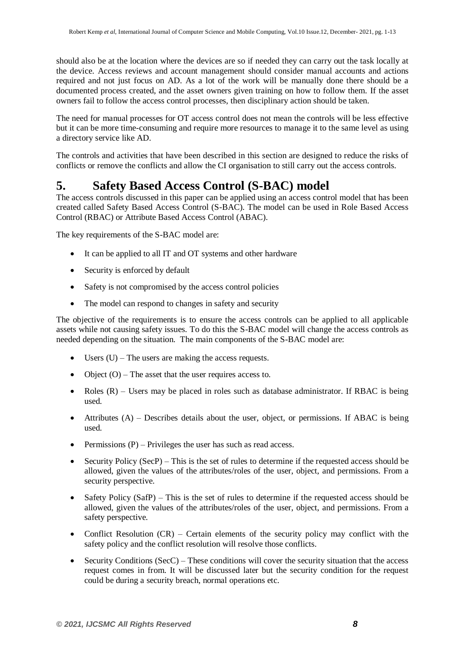should also be at the location where the devices are so if needed they can carry out the task locally at the device. Access reviews and account management should consider manual accounts and actions required and not just focus on AD. As a lot of the work will be manually done there should be a documented process created, and the asset owners given training on how to follow them. If the asset owners fail to follow the access control processes, then disciplinary action should be taken.

The need for manual processes for OT access control does not mean the controls will be less effective but it can be more time-consuming and require more resources to manage it to the same level as using a directory service like AD.

The controls and activities that have been described in this section are designed to reduce the risks of conflicts or remove the conflicts and allow the CI organisation to still carry out the access controls.

## **5. Safety Based Access Control (S-BAC) model**

The access controls discussed in this paper can be applied using an access control model that has been created called Safety Based Access Control (S-BAC). The model can be used in Role Based Access Control (RBAC) or Attribute Based Access Control (ABAC).

The key requirements of the S-BAC model are:

- It can be applied to all IT and OT systems and other hardware
- Security is enforced by default
- Safety is not compromised by the access control policies
- The model can respond to changes in safety and security

The objective of the requirements is to ensure the access controls can be applied to all applicable assets while not causing safety issues. To do this the S-BAC model will change the access controls as needed depending on the situation. The main components of the S-BAC model are:

- $\bullet$  Users (U) The users are making the access requests.
- Object  $(O)$  The asset that the user requires access to.
- Roles  $(R)$  Users may be placed in roles such as database administrator. If RBAC is being used.
- $\bullet$  Attributes (A) Describes details about the user, object, or permissions. If ABAC is being used.
- Permissions  $(P)$  Privileges the user has such as read access.
- Security Policy (SecP) This is the set of rules to determine if the requested access should be allowed, given the values of the attributes/roles of the user, object, and permissions. From a security perspective.
- Safety Policy (SafP) This is the set of rules to determine if the requested access should be allowed, given the values of the attributes/roles of the user, object, and permissions. From a safety perspective.
- Conflict Resolution (CR) Certain elements of the security policy may conflict with the safety policy and the conflict resolution will resolve those conflicts.
- $\bullet$  Security Conditions (SecC) These conditions will cover the security situation that the access request comes in from. It will be discussed later but the security condition for the request could be during a security breach, normal operations etc.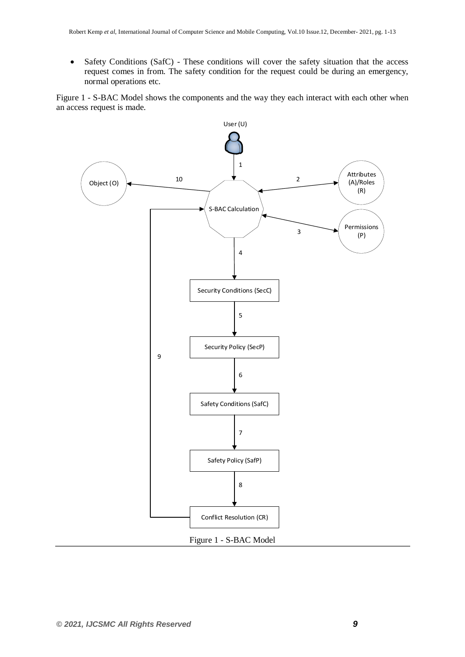Safety Conditions (SafC) - These conditions will cover the safety situation that the access request comes in from. The safety condition for the request could be during an emergency, normal operations etc.

Figure 1 - [S-BAC Model](#page-8-0) shows the components and the way they each interact with each other when an access request is made.

<span id="page-8-0"></span>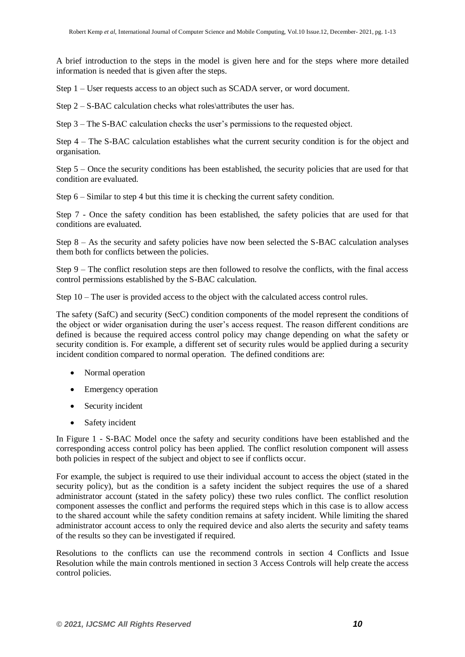A brief introduction to the steps in the model is given here and for the steps where more detailed information is needed that is given after the steps.

Step 1 – User requests access to an object such as SCADA server, or word document.

Step 2 – S-BAC calculation checks what roles\attributes the user has.

Step 3 – The S-BAC calculation checks the user's permissions to the requested object.

Step 4 – The S-BAC calculation establishes what the current security condition is for the object and organisation.

Step 5 – Once the security conditions has been established, the security policies that are used for that condition are evaluated.

Step 6 – Similar to step 4 but this time it is checking the current safety condition.

Step 7 - Once the safety condition has been established, the safety policies that are used for that conditions are evaluated.

Step 8 – As the security and safety policies have now been selected the S-BAC calculation analyses them both for conflicts between the policies.

Step 9 – The conflict resolution steps are then followed to resolve the conflicts, with the final access control permissions established by the S-BAC calculation.

Step 10 – The user is provided access to the object with the calculated access control rules.

The safety (SafC) and security (SecC) condition components of the model represent the conditions of the object or wider organisation during the user's access request. The reason different conditions are defined is because the required access control policy may change depending on what the safety or security condition is. For example, a different set of security rules would be applied during a security incident condition compared to normal operation. The defined conditions are:

- Normal operation
- Emergency operation
- Security incident
- Safety incident

In Figure 1 - [S-BAC Model](#page-8-0) once the safety and security conditions have been established and the corresponding access control policy has been applied. The conflict resolution component will assess both policies in respect of the subject and object to see if conflicts occur.

For example, the subject is required to use their individual account to access the object (stated in the security policy), but as the condition is a safety incident the subject requires the use of a shared administrator account (stated in the safety policy) these two rules conflict. The conflict resolution component assesses the conflict and performs the required steps which in this case is to allow access to the shared account while the safety condition remains at safety incident. While limiting the shared administrator account access to only the required device and also alerts the security and safety teams of the results so they can be investigated if required.

Resolutions to the conflicts can use the recommend controls in section 4 [Conflicts and Issue](#page-4-1)  [Resolution](#page-4-1) while the main controls mentioned in section 3 Access [Controls](#page-3-0) will help create the access control policies.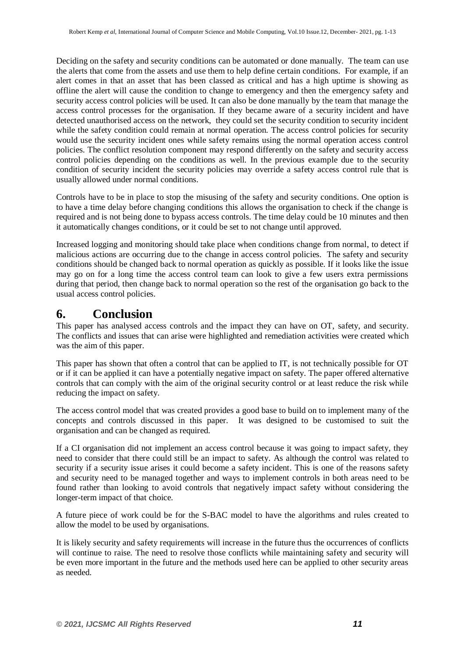Deciding on the safety and security conditions can be automated or done manually. The team can use the alerts that come from the assets and use them to help define certain conditions. For example, if an alert comes in that an asset that has been classed as critical and has a high uptime is showing as offline the alert will cause the condition to change to emergency and then the emergency safety and security access control policies will be used. It can also be done manually by the team that manage the access control processes for the organisation. If they became aware of a security incident and have detected unauthorised access on the network, they could set the security condition to security incident while the safety condition could remain at normal operation. The access control policies for security would use the security incident ones while safety remains using the normal operation access control policies. The conflict resolution component may respond differently on the safety and security access control policies depending on the conditions as well. In the previous example due to the security condition of security incident the security policies may override a safety access control rule that is usually allowed under normal conditions.

Controls have to be in place to stop the misusing of the safety and security conditions. One option is to have a time delay before changing conditions this allows the organisation to check if the change is required and is not being done to bypass access controls. The time delay could be 10 minutes and then it automatically changes conditions, or it could be set to not change until approved.

Increased logging and monitoring should take place when conditions change from normal, to detect if malicious actions are occurring due to the change in access control policies. The safety and security conditions should be changed back to normal operation as quickly as possible. If it looks like the issue may go on for a long time the access control team can look to give a few users extra permissions during that period, then change back to normal operation so the rest of the organisation go back to the usual access control policies.

## **6. Conclusion**

This paper has analysed access controls and the impact they can have on OT, safety, and security. The conflicts and issues that can arise were highlighted and remediation activities were created which was the aim of this paper.

This paper has shown that often a control that can be applied to IT, is not technically possible for OT or if it can be applied it can have a potentially negative impact on safety. The paper offered alternative controls that can comply with the aim of the original security control or at least reduce the risk while reducing the impact on safety.

The access control model that was created provides a good base to build on to implement many of the concepts and controls discussed in this paper. It was designed to be customised to suit the organisation and can be changed as required.

If a CI organisation did not implement an access control because it was going to impact safety, they need to consider that there could still be an impact to safety. As although the control was related to security if a security issue arises it could become a safety incident. This is one of the reasons safety and security need to be managed together and ways to implement controls in both areas need to be found rather than looking to avoid controls that negatively impact safety without considering the longer-term impact of that choice.

A future piece of work could be for the S-BAC model to have the algorithms and rules created to allow the model to be used by organisations.

It is likely security and safety requirements will increase in the future thus the occurrences of conflicts will continue to raise. The need to resolve those conflicts while maintaining safety and security will be even more important in the future and the methods used here can be applied to other security areas as needed.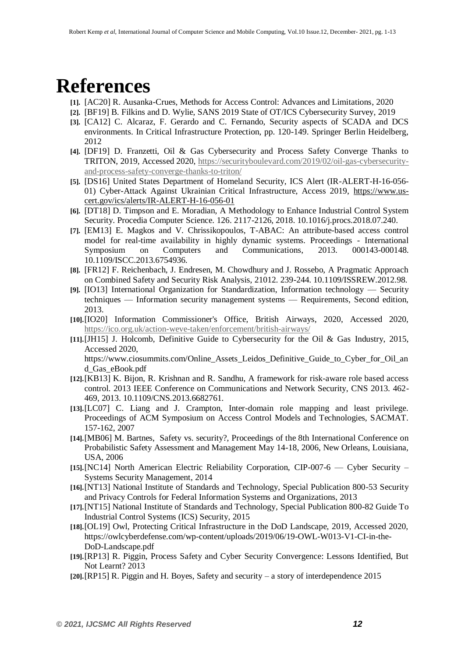# **References**

- **[1].** [AC20] R. Ausanka-Crues, Methods for Access Control: Advances and Limitations, 2020
- **[2].** [BF19] B. Filkins and D. Wylie, SANS 2019 State of OT/ICS Cybersecurity Survey, 2019
- **[3].** [CA12] C. Alcaraz, F. Gerardo and C. Fernando, Security aspects of SCADA and DCS environments. In Critical Infrastructure Protection, pp. 120-149. Springer Berlin Heidelberg, 2012
- **[4].** [DF19] D. Franzetti, Oil & Gas Cybersecurity and Process Safety Converge Thanks to TRITON, 2019, Accessed 2020, [https://securityboulevard.com/2019/02/oil-gas-cybersecurity](https://securityboulevard.com/2019/02/oil-gas-cybersecurity-and-process-safety-converge-thanks-to-triton/)[and-process-safety-converge-thanks-to-triton/](https://securityboulevard.com/2019/02/oil-gas-cybersecurity-and-process-safety-converge-thanks-to-triton/)
- **[5].** [DS16] United States Department of Homeland Security, ICS Alert (IR-ALERT-H-16-056- 01) Cyber-Attack Against Ukrainian Critical Infrastructure, Access 2019, [https://www.us](https://www.us-cert.gov/ics/alerts/IR-ALERT-H-16-056-01)[cert.gov/ics/alerts/IR-ALERT-H-16-056-01](https://www.us-cert.gov/ics/alerts/IR-ALERT-H-16-056-01)
- **[6].** [DT18] D. Timpson and E. Moradian, A Methodology to Enhance Industrial Control System Security. Procedia Computer Science. 126. 2117-2126, 2018. 10.1016/j.procs.2018.07.240.
- **[7].** [EM13] E. Magkos and V. Chrissikopoulos, T-ABAC: An attribute-based access control model for real-time availability in highly dynamic systems. Proceedings - International Symposium on Computers and Communications, 2013. 000143-000148. 10.1109/ISCC.2013.6754936.
- **[8].** [FR12] F. Reichenbach, J. Endresen, M. Chowdhury and J. Rossebo, A Pragmatic Approach on Combined Safety and Security Risk Analysis, 21012. 239-244. 10.1109/ISSREW.2012.98.
- **[9].** [IO13] International Organization for Standardization, Information technology Security techniques — Information security management systems — Requirements, Second edition, 2013.
- **[10].**[IO20] Information Commissioner's Office, British Airways, 2020, Accessed 2020, <https://ico.org.uk/action-weve-taken/enforcement/british-airways/>
- **[11].**[JH15] J. Holcomb, Definitive Guide to Cybersecurity for the Oil & Gas Industry, 2015, Accessed 2020,

https://www.ciosummits.com/Online Assets Leidos Definitive Guide to Cyber for Oil an d\_Gas\_eBook.pdf

- **[12].**[KB13] K. Bijon, R. Krishnan and R. Sandhu, A framework for risk-aware role based access control. 2013 IEEE Conference on Communications and Network Security, CNS 2013. 462- 469, 2013. 10.1109/CNS.2013.6682761.
- **[13].**[LC07] C. Liang and J. Crampton, Inter-domain role mapping and least privilege. Proceedings of ACM Symposium on Access Control Models and Technologies, SACMAT. 157-162, 2007
- **[14].**[MB06] M. Bartnes, Safety vs. security?, Proceedings of the 8th International Conference on Probabilistic Safety Assessment and Management May 14-18, 2006, New Orleans, Louisiana, USA, 2006
- **[15].**[NC14] North American Electric Reliability Corporation, CIP-007-6 Cyber Security Systems Security Management, 2014
- **[16].**[NT13] National Institute of Standards and Technology, Special Publication 800-53 Security and Privacy Controls for Federal Information Systems and Organizations, 2013
- **[17].**[NT15] National Institute of Standards and Technology, Special Publication 800-82 Guide To Industrial Control Systems (ICS) Security, 2015
- **[18].**[OL19] Owl, Protecting Critical Infrastructure in the DoD Landscape, 2019, Accessed 2020, https://owlcyberdefense.com/wp-content/uploads/2019/06/19-OWL-W013-V1-CI-in-the-DoD-Landscape.pdf
- **[19].**[RP13] R. Piggin, Process Safety and Cyber Security Convergence: Lessons Identified, But Not Learnt? 2013
- **[20].**[RP15] R. Piggin and H. Boyes, Safety and security a story of interdependence 2015